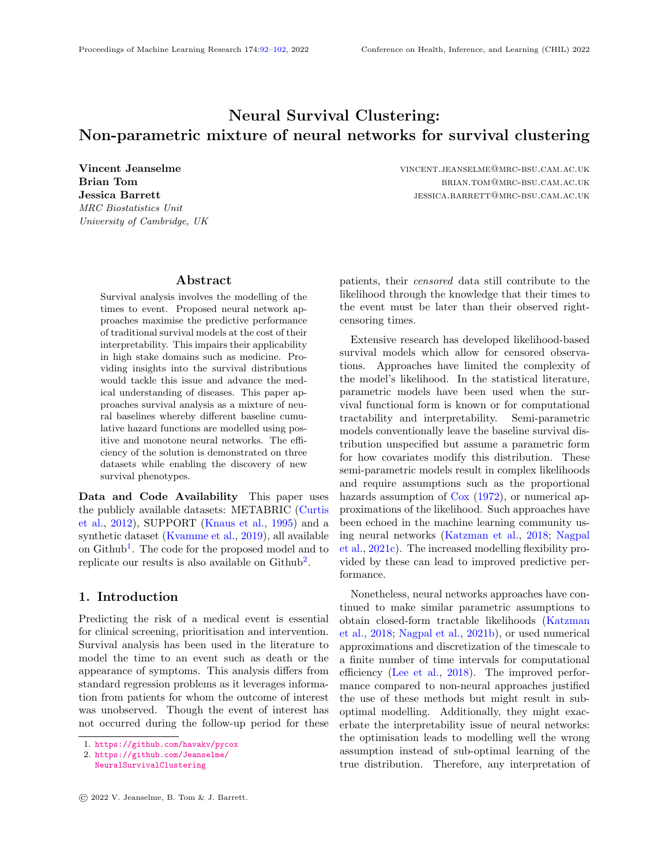# Neural Survival Clustering: Non-parametric mixture of neural networks for survival clustering

MRC Biostatistics Unit University of Cambridge, UK

Vincent Jeanselme vincent.jeanselme@mrc-bsu.cam.ac.uk Brian Tom **brian Tom** brian.tom brian.tom brian.tom brian.tom brian.tom brian.tom brian.tom brian.tom brian.tom brian.tom brian.tom brian.tom brian.tom brian.tom brian.tom brian.tom brian.tom brian.tom brian.tom brian.tom Jessica Barrett jessica.barrett jessica.barrett jessica.barrett jessica.barrett jessica.barrett jessicam.ac.uk

### Abstract

<span id="page-0-0"></span>Survival analysis involves the modelling of the times to event. Proposed neural network approaches maximise the predictive performance of traditional survival models at the cost of their interpretability. This impairs their applicability in high stake domains such as medicine. Providing insights into the survival distributions would tackle this issue and advance the medical understanding of diseases. This paper approaches survival analysis as a mixture of neural baselines whereby different baseline cumulative hazard functions are modelled using positive and monotone neural networks. The efficiency of the solution is demonstrated on three datasets while enabling the discovery of new survival phenotypes.

Data and Code Availability This paper uses the publicly available datasets: METABRIC [\(Curtis](#page-8-0) [et al.,](#page-8-0) [2012\)](#page-8-0), SUPPORT [\(Knaus et al.,](#page-8-1) [1995\)](#page-8-1) and a synthetic dataset [\(Kvamme et al.,](#page-8-2) [2019\)](#page-8-2), all available on Github<sup>[1](#page-0-1)</sup>. The code for the proposed model and to replicate our results is also available on Github<sup>[2](#page-0-2)</sup>.

# 1. Introduction

Predicting the risk of a medical event is essential for clinical screening, prioritisation and intervention. Survival analysis has been used in the literature to model the time to an event such as death or the appearance of symptoms. This analysis differs from standard regression problems as it leverages information from patients for whom the outcome of interest was unobserved. Though the event of interest has not occurred during the follow-up period for these

patients, their censored data still contribute to the likelihood through the knowledge that their times to the event must be later than their observed rightcensoring times.

Extensive research has developed likelihood-based survival models which allow for censored observations. Approaches have limited the complexity of the model's likelihood. In the statistical literature, parametric models have been used when the survival functional form is known or for computational tractability and interpretability. Semi-parametric models conventionally leave the baseline survival distribution unspecified but assume a parametric form for how covariates modify this distribution. These semi-parametric models result in complex likelihoods and require assumptions such as the proportional hazards assumption of [Cox](#page-8-3) [\(1972\)](#page-8-3), or numerical approximations of the likelihood. Such approaches have been echoed in the machine learning community using neural networks [\(Katzman et al.,](#page-8-4) [2018;](#page-8-4) [Nagpal](#page-9-0) [et al.,](#page-9-0) [2021c\)](#page-9-0). The increased modelling flexibility provided by these can lead to improved predictive performance.

Nonetheless, neural networks approaches have continued to make similar parametric assumptions to obtain closed-form tractable likelihoods [\(Katzman](#page-8-4) [et al.,](#page-8-4) [2018;](#page-8-4) [Nagpal et al.,](#page-9-1) [2021b\)](#page-9-1), or used numerical approximations and discretization of the timescale to a finite number of time intervals for computational efficiency [\(Lee et al.,](#page-9-2) [2018\)](#page-9-2). The improved performance compared to non-neural approaches justified the use of these methods but might result in suboptimal modelling. Additionally, they might exacerbate the interpretability issue of neural networks: the optimisation leads to modelling well the wrong assumption instead of sub-optimal learning of the true distribution. Therefore, any interpretation of

<span id="page-0-1"></span><sup>1.</sup> <https://github.com/havakv/pycox>

<span id="page-0-2"></span><sup>2.</sup> [https://github.com/Jeanselme/](https://github.com/Jeanselme/NeuralSurvivalClustering)

[NeuralSurvivalClustering](https://github.com/Jeanselme/NeuralSurvivalClustering)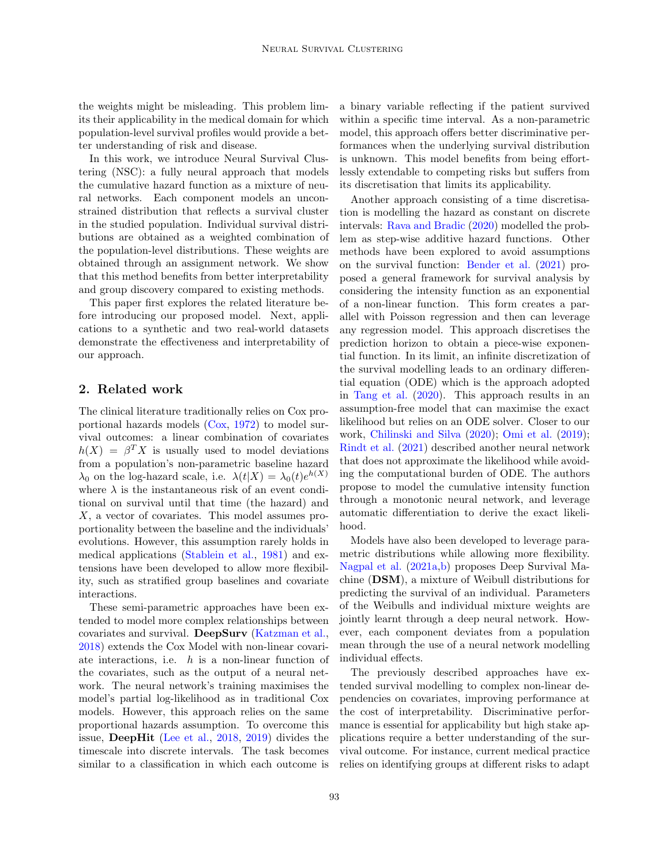the weights might be misleading. This problem limits their applicability in the medical domain for which population-level survival profiles would provide a better understanding of risk and disease.

In this work, we introduce Neural Survival Clustering (NSC): a fully neural approach that models the cumulative hazard function as a mixture of neural networks. Each component models an unconstrained distribution that reflects a survival cluster in the studied population. Individual survival distributions are obtained as a weighted combination of the population-level distributions. These weights are obtained through an assignment network. We show that this method benefits from better interpretability and group discovery compared to existing methods.

This paper first explores the related literature before introducing our proposed model. Next, applications to a synthetic and two real-world datasets demonstrate the effectiveness and interpretability of our approach.

# 2. Related work

The clinical literature traditionally relies on Cox proportional hazards models [\(Cox,](#page-8-3) [1972\)](#page-8-3) to model survival outcomes: a linear combination of covariates  $h(X) = \beta^T X$  is usually used to model deviations from a population's non-parametric baseline hazard  $\lambda_0$  on the log-hazard scale, i.e.  $\lambda(t|X) = \lambda_0(t)e^{h(X)}$ where  $\lambda$  is the instantaneous risk of an event conditional on survival until that time (the hazard) and X, a vector of covariates. This model assumes proportionality between the baseline and the individuals' evolutions. However, this assumption rarely holds in medical applications [\(Stablein et al.,](#page-9-3) [1981\)](#page-9-3) and extensions have been developed to allow more flexibility, such as stratified group baselines and covariate interactions.

These semi-parametric approaches have been extended to model more complex relationships between covariates and survival. DeepSurv [\(Katzman et al.,](#page-8-4) [2018\)](#page-8-4) extends the Cox Model with non-linear covariate interactions, i.e.  $h$  is a non-linear function of the covariates, such as the output of a neural network. The neural network's training maximises the model's partial log-likelihood as in traditional Cox models. However, this approach relies on the same proportional hazards assumption. To overcome this issue, DeepHit [\(Lee et al.,](#page-9-2) [2018,](#page-9-2) [2019\)](#page-9-4) divides the timescale into discrete intervals. The task becomes similar to a classification in which each outcome is

a binary variable reflecting if the patient survived within a specific time interval. As a non-parametric model, this approach offers better discriminative performances when the underlying survival distribution is unknown. This model benefits from being effortlessly extendable to competing risks but suffers from its discretisation that limits its applicability.

Another approach consisting of a time discretisation is modelling the hazard as constant on discrete intervals: [Rava and Bradic](#page-9-5) [\(2020\)](#page-9-5) modelled the problem as step-wise additive hazard functions. Other methods have been explored to avoid assumptions on the survival function: [Bender et al.](#page-8-5) [\(2021\)](#page-8-5) proposed a general framework for survival analysis by considering the intensity function as an exponential of a non-linear function. This form creates a parallel with Poisson regression and then can leverage any regression model. This approach discretises the prediction horizon to obtain a piece-wise exponential function. In its limit, an infinite discretization of the survival modelling leads to an ordinary differential equation (ODE) which is the approach adopted in [Tang et al.](#page-9-6) [\(2020\)](#page-9-6). This approach results in an assumption-free model that can maximise the exact likelihood but relies on an ODE solver. Closer to our work, [Chilinski and Silva](#page-8-6) [\(2020\)](#page-8-6); [Omi et al.](#page-9-7) [\(2019\)](#page-9-7); [Rindt et al.](#page-9-8) [\(2021\)](#page-9-8) described another neural network that does not approximate the likelihood while avoiding the computational burden of ODE. The authors propose to model the cumulative intensity function through a monotonic neural network, and leverage automatic differentiation to derive the exact likelihood.

Models have also been developed to leverage parametric distributions while allowing more flexibility. [Nagpal et al.](#page-9-9) [\(2021a](#page-9-9)[,b\)](#page-9-1) proposes Deep Survival Machine (DSM), a mixture of Weibull distributions for predicting the survival of an individual. Parameters of the Weibulls and individual mixture weights are jointly learnt through a deep neural network. However, each component deviates from a population mean through the use of a neural network modelling individual effects.

The previously described approaches have extended survival modelling to complex non-linear dependencies on covariates, improving performance at the cost of interpretability. Discriminative performance is essential for applicability but high stake applications require a better understanding of the survival outcome. For instance, current medical practice relies on identifying groups at different risks to adapt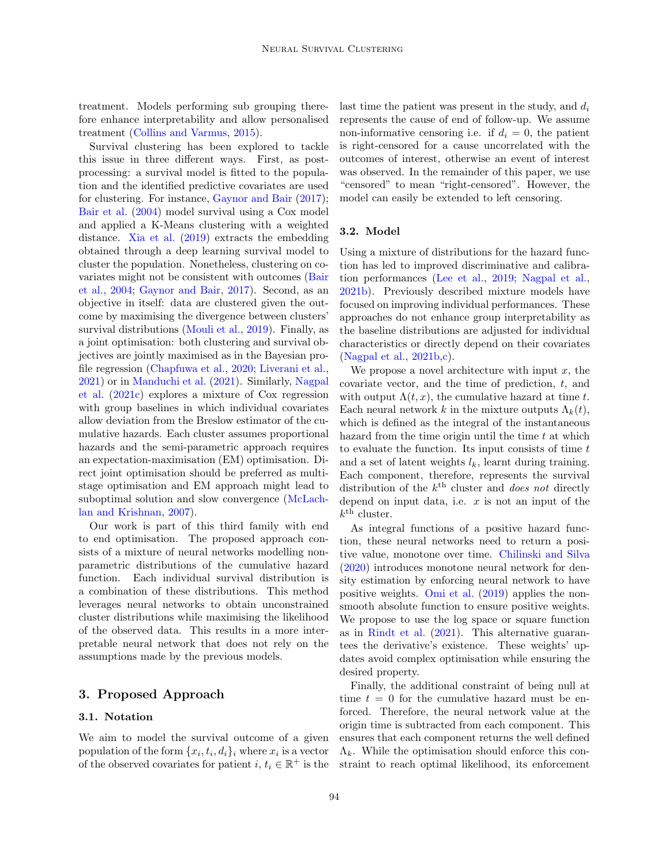treatment. Models performing sub grouping therefore enhance interpretability and allow personalised treatment [\(Collins and Varmus,](#page-8-7) [2015\)](#page-8-7).

Survival clustering has been explored to tackle this issue in three different ways. First, as postprocessing: a survival model is fitted to the population and the identified predictive covariates are used for clustering. For instance, [Gaynor and Bair](#page-8-8) [\(2017\)](#page-8-8); [Bair et al.](#page-8-9) [\(2004\)](#page-8-9) model survival using a Cox model and applied a K-Means clustering with a weighted distance. [Xia et al.](#page-9-10) [\(2019\)](#page-9-10) extracts the embedding obtained through a deep learning survival model to cluster the population. Nonetheless, clustering on covariates might not be consistent with outcomes [\(Bair](#page-8-9) [et al.,](#page-8-9) [2004;](#page-8-9) [Gaynor and Bair,](#page-8-8) [2017\)](#page-8-8). Second, as an objective in itself: data are clustered given the outcome by maximising the divergence between clusters' survival distributions [\(Mouli et al.,](#page-9-11) [2019\)](#page-9-11). Finally, as a joint optimisation: both clustering and survival objectives are jointly maximised as in the Bayesian profile regression [\(Chapfuwa et al.,](#page-8-10) [2020;](#page-8-10) [Liverani et al.,](#page-9-12) [2021\)](#page-9-12) or in [Manduchi et al.](#page-9-13) [\(2021\)](#page-9-13). Similarly, [Nagpal](#page-9-0) [et al.](#page-9-0) [\(2021c\)](#page-9-0) explores a mixture of Cox regression with group baselines in which individual covariates allow deviation from the Breslow estimator of the cumulative hazards. Each cluster assumes proportional hazards and the semi-parametric approach requires an expectation-maximisation (EM) optimisation. Direct joint optimisation should be preferred as multistage optimisation and EM approach might lead to suboptimal solution and slow convergence [\(McLach](#page-9-14)[lan and Krishnan,](#page-9-14) [2007\)](#page-9-14).

Our work is part of this third family with end to end optimisation. The proposed approach consists of a mixture of neural networks modelling nonparametric distributions of the cumulative hazard function. Each individual survival distribution is a combination of these distributions. This method leverages neural networks to obtain unconstrained cluster distributions while maximising the likelihood of the observed data. This results in a more interpretable neural network that does not rely on the assumptions made by the previous models.

# 3. Proposed Approach

#### 3.1. Notation

We aim to model the survival outcome of a given population of the form  $\{x_i, t_i, d_i\}_i$  where  $x_i$  is a vector of the observed covariates for patient  $i, t_i \in \mathbb{R}^+$  is the

last time the patient was present in the study, and  $d_i$ represents the cause of end of follow-up. We assume non-informative censoring i.e. if  $d_i = 0$ , the patient is right-censored for a cause uncorrelated with the outcomes of interest, otherwise an event of interest was observed. In the remainder of this paper, we use "censored" to mean "right-censored". However, the model can easily be extended to left censoring.

#### 3.2. Model

Using a mixture of distributions for the hazard function has led to improved discriminative and calibration performances [\(Lee et al.,](#page-9-4) [2019;](#page-9-4) [Nagpal et al.,](#page-9-1) [2021b\)](#page-9-1). Previously described mixture models have focused on improving individual performances. These approaches do not enhance group interpretability as the baseline distributions are adjusted for individual characteristics or directly depend on their covariates [\(Nagpal et al.,](#page-9-1) [2021b,](#page-9-1)[c\)](#page-9-0).

We propose a novel architecture with input  $x$ , the covariate vector, and the time of prediction, t, and with output  $\Lambda(t, x)$ , the cumulative hazard at time t. Each neural network k in the mixture outputs  $\Lambda_k(t)$ , which is defined as the integral of the instantaneous hazard from the time origin until the time  $t$  at which to evaluate the function. Its input consists of time  $t$ and a set of latent weights  $l_k$ , learnt during training. Each component, therefore, represents the survival distribution of the  $k^{\text{th}}$  cluster and *does not* directly depend on input data, i.e.  $x$  is not an input of the  $k^{\text{th}}$  cluster.

As integral functions of a positive hazard function, these neural networks need to return a positive value, monotone over time. [Chilinski and Silva](#page-8-6) [\(2020\)](#page-8-6) introduces monotone neural network for density estimation by enforcing neural network to have positive weights. [Omi et al.](#page-9-7) [\(2019\)](#page-9-7) applies the nonsmooth absolute function to ensure positive weights. We propose to use the log space or square function as in [Rindt et al.](#page-9-8) [\(2021\)](#page-9-8). This alternative guarantees the derivative's existence. These weights' updates avoid complex optimisation while ensuring the desired property.

Finally, the additional constraint of being null at time  $t = 0$  for the cumulative hazard must be enforced. Therefore, the neural network value at the origin time is subtracted from each component. This ensures that each component returns the well defined  $\Lambda_k$ . While the optimisation should enforce this constraint to reach optimal likelihood, its enforcement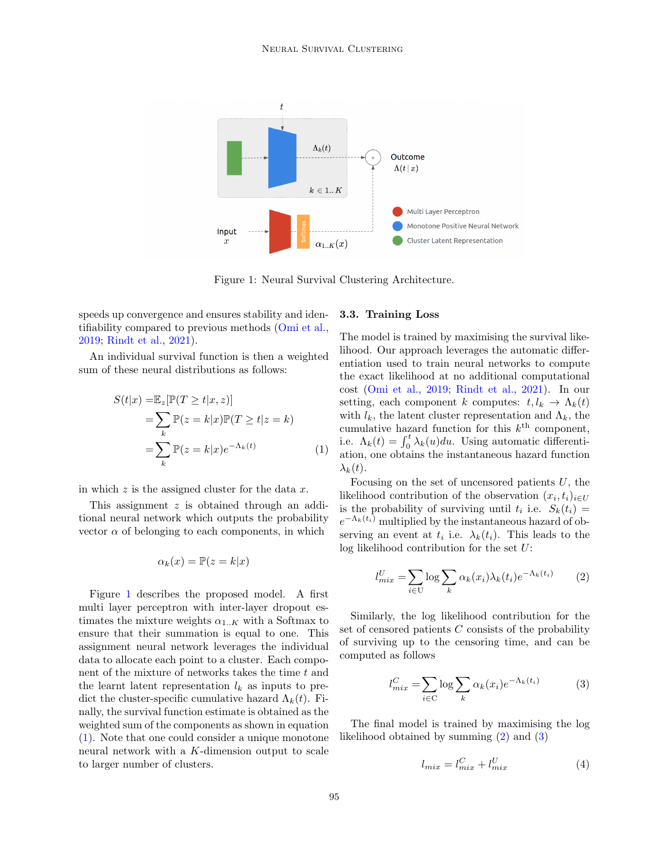

<span id="page-3-0"></span>Figure 1: Neural Survival Clustering Architecture.

speeds up convergence and ensures stability and identifiability compared to previous methods [\(Omi et al.,](#page-9-7) [2019;](#page-9-7) [Rindt et al.,](#page-9-8) [2021\)](#page-9-8).

An individual survival function is then a weighted sum of these neural distributions as follows:

$$
S(t|x) = \mathbb{E}_z[\mathbb{P}(T \ge t|x, z)]
$$
  
= 
$$
\sum_k \mathbb{P}(z = k|x)\mathbb{P}(T \ge t|z = k)
$$
  
= 
$$
\sum_k \mathbb{P}(z = k|x)e^{-\Lambda_k(t)}
$$
 (1)

in which  $z$  is the assigned cluster for the data  $x$ .

This assignment z is obtained through an additional neural network which outputs the probability vector  $\alpha$  of belonging to each components, in which

$$
\alpha_k(x) = \mathbb{P}(z = k|x)
$$

Figure [1](#page-3-0) describes the proposed model. A first multi layer perceptron with inter-layer dropout estimates the mixture weights  $\alpha_{1..K}$  with a Softmax to ensure that their summation is equal to one. This assignment neural network leverages the individual data to allocate each point to a cluster. Each component of the mixture of networks takes the time  $t$  and the learnt latent representation  $l_k$  as inputs to predict the cluster-specific cumulative hazard  $\Lambda_k(t)$ . Finally, the survival function estimate is obtained as the weighted sum of the components as shown in equation [\(1\)](#page-3-1). Note that one could consider a unique monotone neural network with a K-dimension output to scale to larger number of clusters.

### 3.3. Training Loss

The model is trained by maximising the survival likelihood. Our approach leverages the automatic differentiation used to train neural networks to compute the exact likelihood at no additional computational cost [\(Omi et al.,](#page-9-7) [2019;](#page-9-7) [Rindt et al.,](#page-9-8) [2021\)](#page-9-8). In our setting, each component k computes:  $t, l_k \to \Lambda_k(t)$ with  $l_k$ , the latent cluster representation and  $\Lambda_k$ , the cumulative hazard function for this  $k^{\text{th}}$  component, i.e.  $\Lambda_k(t) = \int_0^t \lambda_k(u) du$ . Using automatic differentiation, one obtains the instantaneous hazard function  $\lambda_k(t)$ .

<span id="page-3-1"></span>Focusing on the set of uncensored patients  $U$ , the likelihood contribution of the observation  $(x_i, t_i)_{i \in U}$ is the probability of surviving until  $t_i$  i.e.  $S_k(t_i) =$  $e^{-\Lambda_k(t_i)}$  multiplied by the instantaneous hazard of observing an event at  $t_i$  i.e.  $\lambda_k(t_i)$ . This leads to the log likelihood contribution for the set U:

<span id="page-3-2"></span>
$$
l_{mix}^U = \sum_{i \in U} \log \sum_k \alpha_k(x_i) \lambda_k(t_i) e^{-\Lambda_k(t_i)} \qquad (2)
$$

Similarly, the log likelihood contribution for the set of censored patients  $C$  consists of the probability of surviving up to the censoring time, and can be computed as follows

$$
l_{mix}^C = \sum_{i \in C} \log \sum_k \alpha_k(x_i) e^{-\Lambda_k(t_i)}
$$
(3)

The final model is trained by maximising the log likelihood obtained by summing [\(2\)](#page-3-2) and [\(3\)](#page-3-3)

<span id="page-3-3"></span>
$$
l_{mix} = l_{mix}^C + l_{mix}^U \tag{4}
$$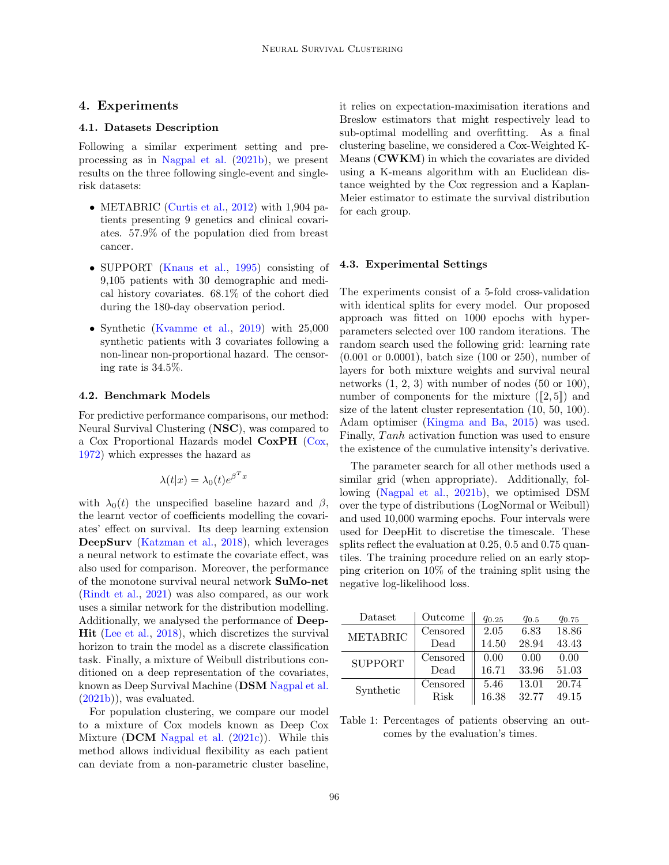## 4. Experiments

### 4.1. Datasets Description

Following a similar experiment setting and preprocessing as in [Nagpal et al.](#page-9-1) [\(2021b\)](#page-9-1), we present results on the three following single-event and singlerisk datasets:

- METABRIC [\(Curtis et al.,](#page-8-0) [2012\)](#page-8-0) with 1,904 patients presenting 9 genetics and clinical covariates. 57.9% of the population died from breast cancer.
- SUPPORT [\(Knaus et al.,](#page-8-1) [1995\)](#page-8-1) consisting of 9,105 patients with 30 demographic and medical history covariates. 68.1% of the cohort died during the 180-day observation period.
- Synthetic [\(Kvamme et al.,](#page-8-2) [2019\)](#page-8-2) with 25,000 synthetic patients with 3 covariates following a non-linear non-proportional hazard. The censoring rate is 34.5%.

#### 4.2. Benchmark Models

For predictive performance comparisons, our method: Neural Survival Clustering (NSC), was compared to a Cox Proportional Hazards model CoxPH [\(Cox,](#page-8-3) [1972\)](#page-8-3) which expresses the hazard as

$$
\lambda(t|x) = \lambda_0(t)e^{\beta^T x}
$$

with  $\lambda_0(t)$  the unspecified baseline hazard and  $\beta$ , the learnt vector of coefficients modelling the covariates' effect on survival. Its deep learning extension DeepSurv [\(Katzman et al.,](#page-8-4) [2018\)](#page-8-4), which leverages a neural network to estimate the covariate effect, was also used for comparison. Moreover, the performance of the monotone survival neural network SuMo-net [\(Rindt et al.,](#page-9-8) [2021\)](#page-9-8) was also compared, as our work uses a similar network for the distribution modelling. Additionally, we analysed the performance of Deep-Hit [\(Lee et al.,](#page-9-2) [2018\)](#page-9-2), which discretizes the survival horizon to train the model as a discrete classification task. Finally, a mixture of Weibull distributions conditioned on a deep representation of the covariates, known as Deep Survival Machine (DSM [Nagpal et al.](#page-9-1) [\(2021b\)](#page-9-1)), was evaluated.

For population clustering, we compare our model to a mixture of Cox models known as Deep Cox Mixture (DCM [Nagpal et al.](#page-9-0)  $(2021c)$ ). While this method allows individual flexibility as each patient can deviate from a non-parametric cluster baseline,

it relies on expectation-maximisation iterations and Breslow estimators that might respectively lead to sub-optimal modelling and overfitting. As a final clustering baseline, we considered a Cox-Weighted K-Means (CWKM) in which the covariates are divided using a K-means algorithm with an Euclidean distance weighted by the Cox regression and a Kaplan-Meier estimator to estimate the survival distribution for each group.

#### 4.3. Experimental Settings

The experiments consist of a 5-fold cross-validation with identical splits for every model. Our proposed approach was fitted on 1000 epochs with hyperparameters selected over 100 random iterations. The random search used the following grid: learning rate (0.001 or 0.0001), batch size (100 or 250), number of layers for both mixture weights and survival neural networks (1, 2, 3) with number of nodes (50 or 100), number of components for the mixture  $([2, 5])$  and size of the latent cluster representation (10, 50, 100). Adam optimiser [\(Kingma and Ba,](#page-8-11) [2015\)](#page-8-11) was used. Finally, Tanh activation function was used to ensure the existence of the cumulative intensity's derivative.

The parameter search for all other methods used a similar grid (when appropriate). Additionally, following [\(Nagpal et al.,](#page-9-1) [2021b\)](#page-9-1), we optimised DSM over the type of distributions (LogNormal or Weibull) and used 10,000 warming epochs. Four intervals were used for DeepHit to discretise the timescale. These splits reflect the evaluation at 0.25, 0.5 and 0.75 quantiles. The training procedure relied on an early stopping criterion on 10% of the training split using the negative log-likelihood loss.

| Dataset         | Outcome     | $q_{0.25}$ | $q_{0.5}$ | $q_{0.75}$ |  |
|-----------------|-------------|------------|-----------|------------|--|
| <b>METABRIC</b> | Censored    | 2.05       | 6.83      | 18.86      |  |
|                 | Dead        | 14.50      | 28.94     | 43.43      |  |
| <b>SUPPORT</b>  | Censored    | 0.00       | 0.00      | 0.00       |  |
|                 | Dead        | 16.71      | 33.96     | 51.03      |  |
| Synthetic       | Censored    | 5.46       | 13.01     | 20.74      |  |
|                 | <b>Risk</b> | 16.38      | 32.77     | 49.15      |  |

<span id="page-4-0"></span>Table 1: Percentages of patients observing an outcomes by the evaluation's times.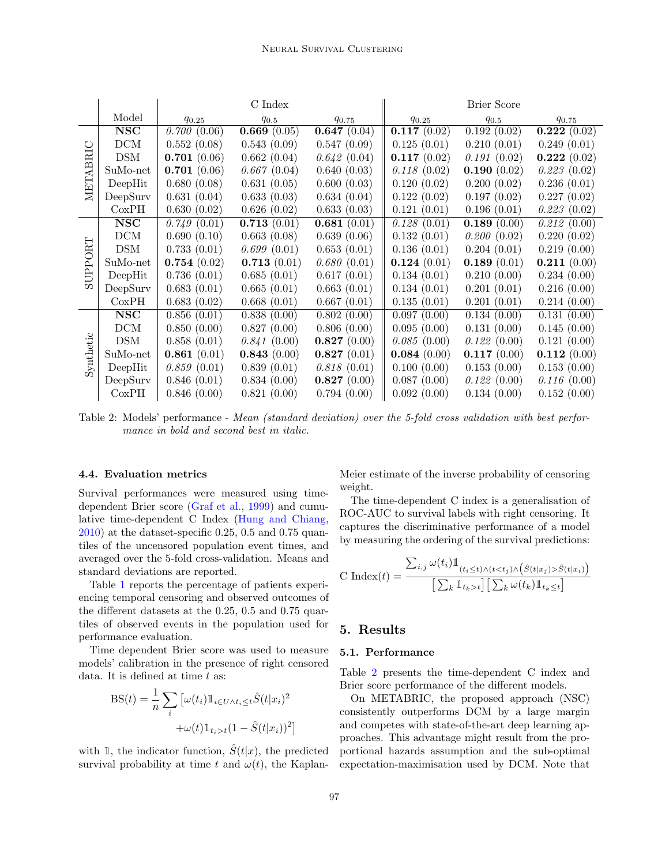|           |                         | C Index     |             |             | Brier Score |                             |             |
|-----------|-------------------------|-------------|-------------|-------------|-------------|-----------------------------|-------------|
|           | Model                   | $q_{0.25}$  | $q_{0.5}$   | $q_{0.75}$  | $q_{0.25}$  | $q_{0.5}$                   | $q_{0.75}$  |
| METABRIC  | <b>NSC</b>              | 0.700(0.06) | 0.669(0.05) | 0.647(0.04) | 0.117(0.02) | $\overline{0.192} \ (0.02)$ | 0.222(0.02) |
|           | DCM                     | 0.552(0.08) | 0.543(0.09) | 0.547(0.09) | 0.125(0.01) | 0.210(0.01)                 | 0.249(0.01) |
|           | DSM                     | 0.701(0.06) | 0.662(0.04) | 0.642(0.04) | 0.117(0.02) | 0.191(0.02)                 | 0.222(0.02) |
|           | SuMo-net                | 0.701(0.06) | 0.667(0.04) | 0.640(0.03) | 0.118(0.02) | 0.190(0.02)                 | 0.223(0.02) |
|           | DeepHit                 | 0.680(0.08) | 0.631(0.05) | 0.600(0.03) | 0.120(0.02) | 0.200(0.02)                 | 0.236(0.01) |
|           | DeepSurv                | 0.631(0.04) | 0.633(0.03) | 0.634(0.04) | 0.122(0.02) | 0.197(0.02)                 | 0.227(0.02) |
|           | CoxPH                   | 0.630(0.02) | 0.626(0.02) | 0.633(0.03) | 0.121(0.01) | 0.196(0.01)                 | 0.223(0.02) |
| SUPPORT   | <b>NSC</b>              | 0.749(0.01) | 0.713(0.01) | 0.681(0.01) | 0.128(0.01) | 0.189(0.00)                 | 0.212(0.00) |
|           | DCM                     | 0.690(0.10) | 0.663(0.08) | 0.639(0.06) | 0.132(0.01) | 0.200(0.02)                 | 0.220(0.02) |
|           | <b>DSM</b>              | 0.733(0.01) | 0.699(0.01) | 0.653(0.01) | 0.136(0.01) | 0.204(0.01)                 | 0.219(0.00) |
|           | SuMo-net                | 0.754(0.02) | 0.713(0.01) | 0.680(0.01) | 0.124(0.01) | 0.189(0.01)                 | 0.211(0.00) |
|           | DeepHit                 | 0.736(0.01) | 0.685(0.01) | 0.617(0.01) | 0.134(0.01) | 0.210(0.00)                 | 0.234(0.00) |
|           | DeepSurv                | 0.683(0.01) | 0.665(0.01) | 0.663(0.01) | 0.134(0.01) | 0.201(0.01)                 | 0.216(0.00) |
|           | CoxPH                   | 0.683(0.02) | 0.668(0.01) | 0.667(0.01) | 0.135(0.01) | 0.201(0.01)                 | 0.214(0.00) |
| Synthetic | $\overline{\text{NSC}}$ | 0.856(0.01) | 0.838(0.00) | 0.802(0.00) | 0.097(0.00) | 0.134(0.00)                 | 0.131(0.00) |
|           | DCM                     | 0.850(0.00) | 0.827(0.00) | 0.806(0.00) | 0.095(0.00) | 0.131(0.00)                 | 0.145(0.00) |
|           | <b>DSM</b>              | 0.858(0.01) | 0.841(0.00) | 0.827(0.00) | 0.085(0.00) | 0.122(0.00)                 | 0.121(0.00) |
|           | SuMo-net                | 0.861(0.01) | 0.843(0.00) | 0.827(0.01) | 0.084(0.00) | 0.117(0.00)                 | 0.112(0.00) |
|           | DeepHit                 | 0.859(0.01) | 0.839(0.01) | 0.818(0.01) | 0.100(0.00) | 0.153(0.00)                 | 0.153(0.00) |
|           | DeepSurv                | 0.846(0.01) | 0.834(0.00) | 0.827(0.00) | 0.087(0.00) | 0.122(0.00)                 | 0.116(0.00) |
|           | CoxPH                   | 0.846(0.00) | 0.821(0.00) | 0.794(0.00) | 0.092(0.00) | 0.134(0.00)                 | 0.152(0.00) |

<span id="page-5-0"></span>Table 2: Models' performance - Mean (standard deviation) over the 5-fold cross validation with best performance in bold and second best in italic.

## 4.4. Evaluation metrics

Survival performances were measured using timedependent Brier score [\(Graf et al.,](#page-8-12) [1999\)](#page-8-12) and cumulative time-dependent C Index [\(Hung and Chiang,](#page-8-13) [2010\)](#page-8-13) at the dataset-specific 0.25, 0.5 and 0.75 quantiles of the uncensored population event times, and averaged over the 5-fold cross-validation. Means and standard deviations are reported.

Table [1](#page-4-0) reports the percentage of patients experiencing temporal censoring and observed outcomes of the different datasets at the 0.25, 0.5 and 0.75 quartiles of observed events in the population used for performance evaluation.

Time dependent Brier score was used to measure models' calibration in the presence of right censored data. It is defined at time  $t$  as:

$$
BS(t) = \frac{1}{n} \sum_{i} \left[ \omega(t_i) \mathbb{1}_{i \in U \wedge t_i \le t} \hat{S}(t|x_i)^2 + \omega(t) \mathbb{1}_{t_i > t} (1 - \hat{S}(t|x_i))^2 \right]
$$

with 1, the indicator function,  $\hat{S}(t|x)$ , the predicted survival probability at time t and  $\omega(t)$ , the KaplanMeier estimate of the inverse probability of censoring weight.

The time-dependent C index is a generalisation of ROC-AUC to survival labels with right censoring. It captures the discriminative performance of a model by measuring the ordering of the survival predictions:

$$
\text{C Index}(t) = \frac{\sum_{i,j} \omega(t_i) \mathbb{1}_{(t_i \le t) \land (t < t_j) \land (\hat{S}(t|x_j) > \hat{S}(t|x_i))}}{\left[\sum_k \mathbb{1}_{t_k > t}\right] \left[\sum_k \omega(t_k) \mathbb{1}_{t_k \le t}\right]}
$$

# 5. Results

#### 5.1. Performance

Table [2](#page-5-0) presents the time-dependent C index and Brier score performance of the different models.

On METABRIC, the proposed approach (NSC) consistently outperforms DCM by a large margin and competes with state-of-the-art deep learning approaches. This advantage might result from the proportional hazards assumption and the sub-optimal expectation-maximisation used by DCM. Note that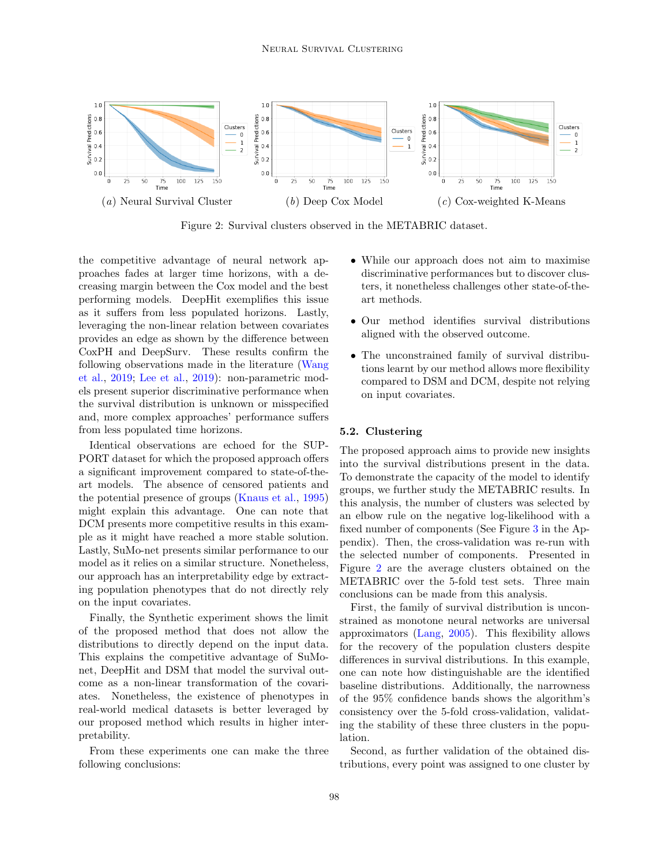

<span id="page-6-0"></span>Figure 2: Survival clusters observed in the METABRIC dataset.

the competitive advantage of neural network approaches fades at larger time horizons, with a decreasing margin between the Cox model and the best performing models. DeepHit exemplifies this issue as it suffers from less populated horizons. Lastly, leveraging the non-linear relation between covariates provides an edge as shown by the difference between CoxPH and DeepSurv. These results confirm the following observations made in the literature [\(Wang](#page-9-15) [et al.,](#page-9-15) [2019;](#page-9-15) [Lee et al.,](#page-9-4) [2019\)](#page-9-4): non-parametric models present superior discriminative performance when the survival distribution is unknown or misspecified and, more complex approaches' performance suffers from less populated time horizons.

Identical observations are echoed for the SUP-PORT dataset for which the proposed approach offers a significant improvement compared to state-of-theart models. The absence of censored patients and the potential presence of groups [\(Knaus et al.,](#page-8-1) [1995\)](#page-8-1) might explain this advantage. One can note that DCM presents more competitive results in this example as it might have reached a more stable solution. Lastly, SuMo-net presents similar performance to our model as it relies on a similar structure. Nonetheless, our approach has an interpretability edge by extracting population phenotypes that do not directly rely on the input covariates.

Finally, the Synthetic experiment shows the limit of the proposed method that does not allow the distributions to directly depend on the input data. This explains the competitive advantage of SuMonet, DeepHit and DSM that model the survival outcome as a non-linear transformation of the covariates. Nonetheless, the existence of phenotypes in real-world medical datasets is better leveraged by our proposed method which results in higher interpretability.

From these experiments one can make the three following conclusions:

- While our approach does not aim to maximise discriminative performances but to discover clusters, it nonetheless challenges other state-of-theart methods.
- Our method identifies survival distributions aligned with the observed outcome.
- The unconstrained family of survival distributions learnt by our method allows more flexibility compared to DSM and DCM, despite not relying on input covariates.

#### 5.2. Clustering

The proposed approach aims to provide new insights into the survival distributions present in the data. To demonstrate the capacity of the model to identify groups, we further study the METABRIC results. In this analysis, the number of clusters was selected by an elbow rule on the negative log-likelihood with a fixed number of components (See Figure [3](#page-10-1) in the Appendix). Then, the cross-validation was re-run with the selected number of components. Presented in Figure [2](#page-6-0) are the average clusters obtained on the METABRIC over the 5-fold test sets. Three main conclusions can be made from this analysis.

First, the family of survival distribution is unconstrained as monotone neural networks are universal approximators [\(Lang,](#page-8-14) [2005\)](#page-8-14). This flexibility allows for the recovery of the population clusters despite differences in survival distributions. In this example, one can note how distinguishable are the identified baseline distributions. Additionally, the narrowness of the 95% confidence bands shows the algorithm's consistency over the 5-fold cross-validation, validating the stability of these three clusters in the population.

Second, as further validation of the obtained distributions, every point was assigned to one cluster by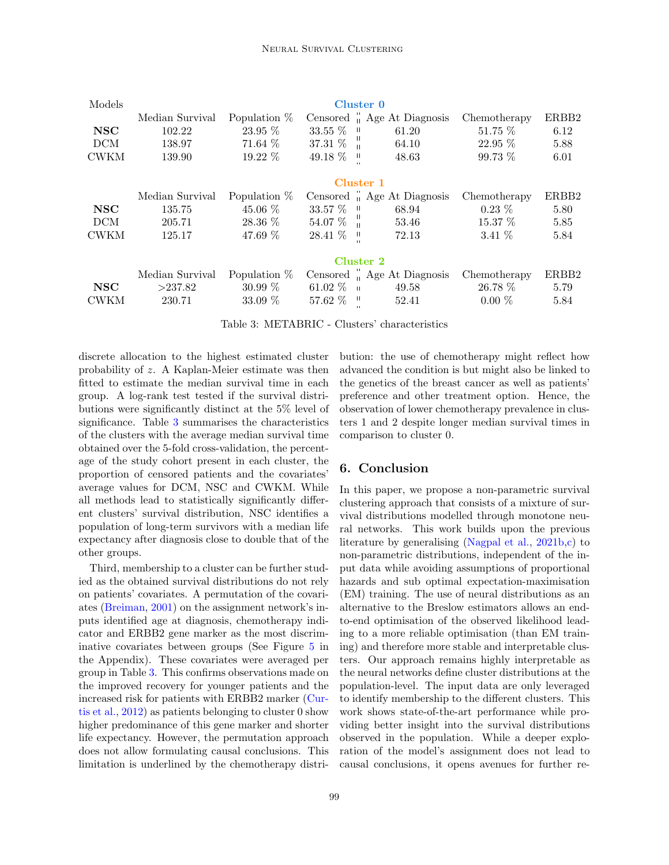| Models      | Cluster 0       |                |                         |                                         |              |       |
|-------------|-----------------|----------------|-------------------------|-----------------------------------------|--------------|-------|
|             | Median Survival | Population $%$ |                         | Censored " Age At Diagnosis             | Chemotherapy | ERBB2 |
| <b>NSC</b>  | 102.22          | 23.95 %        | 33.55 % "               | 61.20                                   | 51.75 %      | 6.12  |
| <b>DCM</b>  | 138.97          | $71.64~\%$     | $37.31\%$ "             | 64.10                                   | $22.95\%$    | 5.88  |
| <b>CWKM</b> | 139.90          | $19.22\%$      | 49.18 %<br>$\mathbf{H}$ | 48.63                                   | 99.73 %      | 6.01  |
|             |                 |                | Cluster 1               |                                         |              |       |
|             | Median Survival | Population $%$ |                         | Censored <sup>"</sup> Age At Diagnosis  | Chemotherapy | ERBB2 |
| NSC         | 135.75          | $45.06\%$      | 33.57 % "               | 68.94                                   | $0.23\%$     | 5.80  |
| <b>DCM</b>  | 205.71          | 28.36 %        | $54.07\%$               | 53.46                                   | 15.37 %      | 5.85  |
| <b>CWKM</b> | 125.17          | 47.69 %        | 28.41 % "               | 72.13                                   | 3.41 $%$     | 5.84  |
|             |                 |                | Cluster 2               |                                         |              |       |
|             | Median Survival | Population $%$ |                         | Censored $\frac{1}{1}$ Age At Diagnosis | Chemotherapy | ERBB2 |
| <b>NSC</b>  | >237.82         | $30.99\%$      | 61.02 $\%$ = 0          | 49.58                                   | 26.78 %      | 5.79  |
| <b>CWKM</b> | 230.71          | 33.09 %        | $57.62\%$ "             | 52.41                                   | $0.00\%$     | 5.84  |

<span id="page-7-0"></span>Table 3: METABRIC - Clusters' characteristics

discrete allocation to the highest estimated cluster probability of z. A Kaplan-Meier estimate was then fitted to estimate the median survival time in each group. A log-rank test tested if the survival distributions were significantly distinct at the 5% level of significance. Table [3](#page-7-0) summarises the characteristics of the clusters with the average median survival time obtained over the 5-fold cross-validation, the percentage of the study cohort present in each cluster, the proportion of censored patients and the covariates' average values for DCM, NSC and CWKM. While all methods lead to statistically significantly different clusters' survival distribution, NSC identifies a population of long-term survivors with a median life expectancy after diagnosis close to double that of the other groups.

Third, membership to a cluster can be further studied as the obtained survival distributions do not rely on patients' covariates. A permutation of the covariates [\(Breiman,](#page-8-15) [2001\)](#page-8-15) on the assignment network's inputs identified age at diagnosis, chemotherapy indicator and ERBB2 gene marker as the most discriminative covariates between groups (See Figure [5](#page-10-2) in the Appendix). These covariates were averaged per group in Table [3.](#page-7-0) This confirms observations made on the improved recovery for younger patients and the increased risk for patients with ERBB2 marker [\(Cur](#page-8-0)[tis et al.,](#page-8-0) [2012\)](#page-8-0) as patients belonging to cluster 0 show higher predominance of this gene marker and shorter life expectancy. However, the permutation approach does not allow formulating causal conclusions. This limitation is underlined by the chemotherapy distribution: the use of chemotherapy might reflect how advanced the condition is but might also be linked to the genetics of the breast cancer as well as patients' preference and other treatment option. Hence, the observation of lower chemotherapy prevalence in clusters 1 and 2 despite longer median survival times in comparison to cluster 0.

# 6. Conclusion

In this paper, we propose a non-parametric survival clustering approach that consists of a mixture of survival distributions modelled through monotone neural networks. This work builds upon the previous literature by generalising [\(Nagpal et al.,](#page-9-1) [2021b](#page-9-1)[,c\)](#page-9-0) to non-parametric distributions, independent of the input data while avoiding assumptions of proportional hazards and sub optimal expectation-maximisation (EM) training. The use of neural distributions as an alternative to the Breslow estimators allows an endto-end optimisation of the observed likelihood leading to a more reliable optimisation (than EM training) and therefore more stable and interpretable clusters. Our approach remains highly interpretable as the neural networks define cluster distributions at the population-level. The input data are only leveraged to identify membership to the different clusters. This work shows state-of-the-art performance while providing better insight into the survival distributions observed in the population. While a deeper exploration of the model's assignment does not lead to causal conclusions, it opens avenues for further re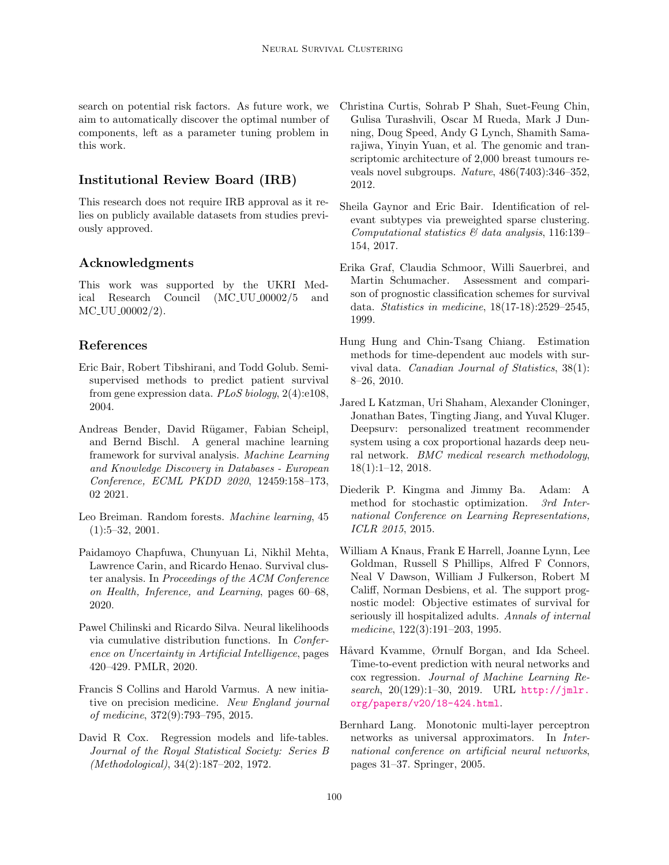search on potential risk factors. As future work, we aim to automatically discover the optimal number of components, left as a parameter tuning problem in this work.

# Institutional Review Board (IRB)

This research does not require IRB approval as it relies on publicly available datasets from studies previously approved.

# Acknowledgments

This work was supported by the UKRI Medical Research Council (MC UU 00002/5 and MC UU 00002/2).

# References

- <span id="page-8-9"></span>Eric Bair, Robert Tibshirani, and Todd Golub. Semisupervised methods to predict patient survival from gene expression data. PLoS biology, 2(4):e108, 2004.
- <span id="page-8-5"></span>Andreas Bender, David Rügamer, Fabian Scheipl, and Bernd Bischl. A general machine learning framework for survival analysis. Machine Learning and Knowledge Discovery in Databases - European Conference, ECML PKDD 2020, 12459:158–173, 02 2021.
- <span id="page-8-15"></span>Leo Breiman. Random forests. Machine learning, 45 (1):5–32, 2001.
- <span id="page-8-10"></span>Paidamoyo Chapfuwa, Chunyuan Li, Nikhil Mehta, Lawrence Carin, and Ricardo Henao. Survival cluster analysis. In Proceedings of the ACM Conference on Health, Inference, and Learning, pages 60–68, 2020.
- <span id="page-8-6"></span>Pawel Chilinski and Ricardo Silva. Neural likelihoods via cumulative distribution functions. In Conference on Uncertainty in Artificial Intelligence, pages 420–429. PMLR, 2020.
- <span id="page-8-7"></span>Francis S Collins and Harold Varmus. A new initiative on precision medicine. New England journal of medicine, 372(9):793–795, 2015.
- <span id="page-8-3"></span>David R Cox. Regression models and life-tables. Journal of the Royal Statistical Society: Series B (Methodological), 34(2):187–202, 1972.
- <span id="page-8-0"></span>Christina Curtis, Sohrab P Shah, Suet-Feung Chin, Gulisa Turashvili, Oscar M Rueda, Mark J Dunning, Doug Speed, Andy G Lynch, Shamith Samarajiwa, Yinyin Yuan, et al. The genomic and transcriptomic architecture of 2,000 breast tumours reveals novel subgroups. Nature, 486(7403):346–352, 2012.
- <span id="page-8-8"></span>Sheila Gaynor and Eric Bair. Identification of relevant subtypes via preweighted sparse clustering. Computational statistics  $\mathcal C$  data analysis, 116:139– 154, 2017.
- <span id="page-8-12"></span>Erika Graf, Claudia Schmoor, Willi Sauerbrei, and Martin Schumacher. Assessment and comparison of prognostic classification schemes for survival data. Statistics in medicine, 18(17-18):2529–2545, 1999.
- <span id="page-8-13"></span>Hung Hung and Chin-Tsang Chiang. Estimation methods for time-dependent auc models with survival data. Canadian Journal of Statistics, 38(1): 8–26, 2010.
- <span id="page-8-4"></span>Jared L Katzman, Uri Shaham, Alexander Cloninger, Jonathan Bates, Tingting Jiang, and Yuval Kluger. Deepsurv: personalized treatment recommender system using a cox proportional hazards deep neural network. BMC medical research methodology, 18(1):1–12, 2018.
- <span id="page-8-11"></span>Diederik P. Kingma and Jimmy Ba. Adam: A method for stochastic optimization. 3rd International Conference on Learning Representations, ICLR 2015, 2015.
- <span id="page-8-1"></span>William A Knaus, Frank E Harrell, Joanne Lynn, Lee Goldman, Russell S Phillips, Alfred F Connors, Neal V Dawson, William J Fulkerson, Robert M Califf, Norman Desbiens, et al. The support prognostic model: Objective estimates of survival for seriously ill hospitalized adults. Annals of internal medicine, 122(3):191–203, 1995.
- <span id="page-8-2"></span>Håvard Kvamme, Ørnulf Borgan, and Ida Scheel. Time-to-event prediction with neural networks and cox regression. Journal of Machine Learning Research, 20(129):1-30, 2019. URL [http://jmlr.](http://jmlr.org/papers/v20/18-424.html) [org/papers/v20/18-424.html](http://jmlr.org/papers/v20/18-424.html).
- <span id="page-8-14"></span>Bernhard Lang. Monotonic multi-layer perceptron networks as universal approximators. In International conference on artificial neural networks, pages 31–37. Springer, 2005.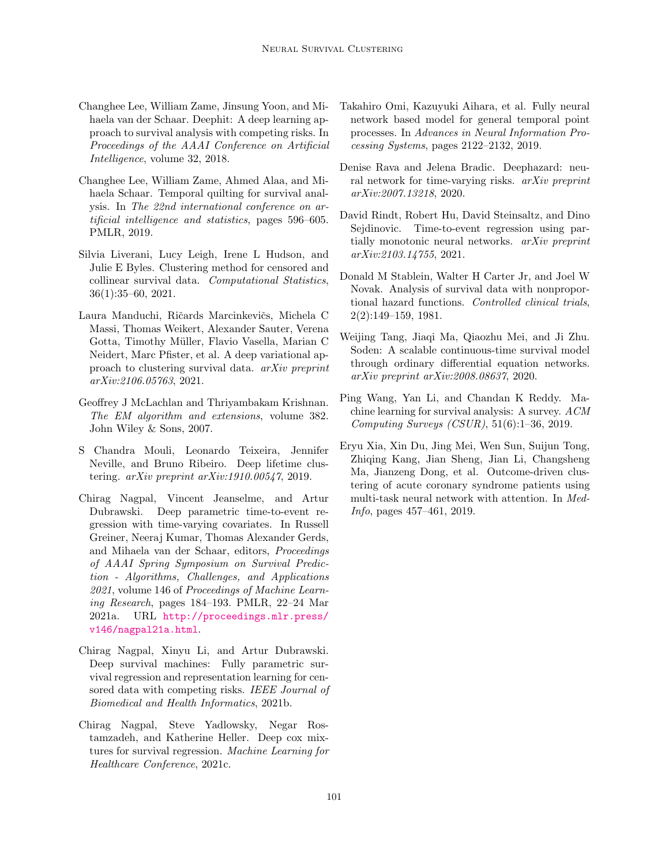- <span id="page-9-2"></span>Changhee Lee, William Zame, Jinsung Yoon, and Mihaela van der Schaar. Deephit: A deep learning approach to survival analysis with competing risks. In Proceedings of the AAAI Conference on Artificial Intelligence, volume 32, 2018.
- <span id="page-9-4"></span>Changhee Lee, William Zame, Ahmed Alaa, and Mihaela Schaar. Temporal quilting for survival analysis. In The 22nd international conference on artificial intelligence and statistics, pages 596–605. PMLR, 2019.
- <span id="page-9-12"></span>Silvia Liverani, Lucy Leigh, Irene L Hudson, and Julie E Byles. Clustering method for censored and collinear survival data. Computational Statistics, 36(1):35–60, 2021.
- <span id="page-9-13"></span>Laura Manduchi, Ričards Marcinkevičs, Michela C Massi, Thomas Weikert, Alexander Sauter, Verena Gotta, Timothy Müller, Flavio Vasella, Marian C Neidert, Marc Pfister, et al. A deep variational approach to clustering survival data. arXiv preprint arXiv:2106.05763, 2021.
- <span id="page-9-14"></span>Geoffrey J McLachlan and Thriyambakam Krishnan. The EM algorithm and extensions, volume 382. John Wiley & Sons, 2007.
- <span id="page-9-11"></span>S Chandra Mouli, Leonardo Teixeira, Jennifer Neville, and Bruno Ribeiro. Deep lifetime clustering. arXiv preprint arXiv:1910.00547, 2019.
- <span id="page-9-9"></span>Chirag Nagpal, Vincent Jeanselme, and Artur Dubrawski. Deep parametric time-to-event regression with time-varying covariates. In Russell Greiner, Neeraj Kumar, Thomas Alexander Gerds, and Mihaela van der Schaar, editors, Proceedings of AAAI Spring Symposium on Survival Prediction - Algorithms, Challenges, and Applications 2021, volume 146 of Proceedings of Machine Learning Research, pages 184–193. PMLR, 22–24 Mar 2021a. URL [http://proceedings.mlr.press/](http://proceedings.mlr.press/v146/nagpal21a.html) [v146/nagpal21a.html](http://proceedings.mlr.press/v146/nagpal21a.html).
- <span id="page-9-1"></span>Chirag Nagpal, Xinyu Li, and Artur Dubrawski. Deep survival machines: Fully parametric survival regression and representation learning for censored data with competing risks. IEEE Journal of Biomedical and Health Informatics, 2021b.
- <span id="page-9-0"></span>Chirag Nagpal, Steve Yadlowsky, Negar Rostamzadeh, and Katherine Heller. Deep cox mixtures for survival regression. Machine Learning for Healthcare Conference, 2021c.
- <span id="page-9-7"></span>Takahiro Omi, Kazuyuki Aihara, et al. Fully neural network based model for general temporal point processes. In Advances in Neural Information Processing Systems, pages 2122–2132, 2019.
- <span id="page-9-5"></span>Denise Rava and Jelena Bradic. Deephazard: neural network for time-varying risks. *arXiv preprint* arXiv:2007.13218, 2020.
- <span id="page-9-8"></span>David Rindt, Robert Hu, David Steinsaltz, and Dino Sejdinovic. Time-to-event regression using partially monotonic neural networks. arXiv preprint arXiv:2103.14755, 2021.
- <span id="page-9-3"></span>Donald M Stablein, Walter H Carter Jr, and Joel W Novak. Analysis of survival data with nonproportional hazard functions. Controlled clinical trials, 2(2):149–159, 1981.
- <span id="page-9-6"></span>Weijing Tang, Jiaqi Ma, Qiaozhu Mei, and Ji Zhu. Soden: A scalable continuous-time survival model through ordinary differential equation networks. arXiv preprint arXiv:2008.08637, 2020.
- <span id="page-9-15"></span>Ping Wang, Yan Li, and Chandan K Reddy. Machine learning for survival analysis: A survey. ACM Computing Surveys (CSUR), 51(6):1–36, 2019.
- <span id="page-9-10"></span>Eryu Xia, Xin Du, Jing Mei, Wen Sun, Suijun Tong, Zhiqing Kang, Jian Sheng, Jian Li, Changsheng Ma, Jianzeng Dong, et al. Outcome-driven clustering of acute coronary syndrome patients using multi-task neural network with attention. In Med-Info, pages 457–461, 2019.